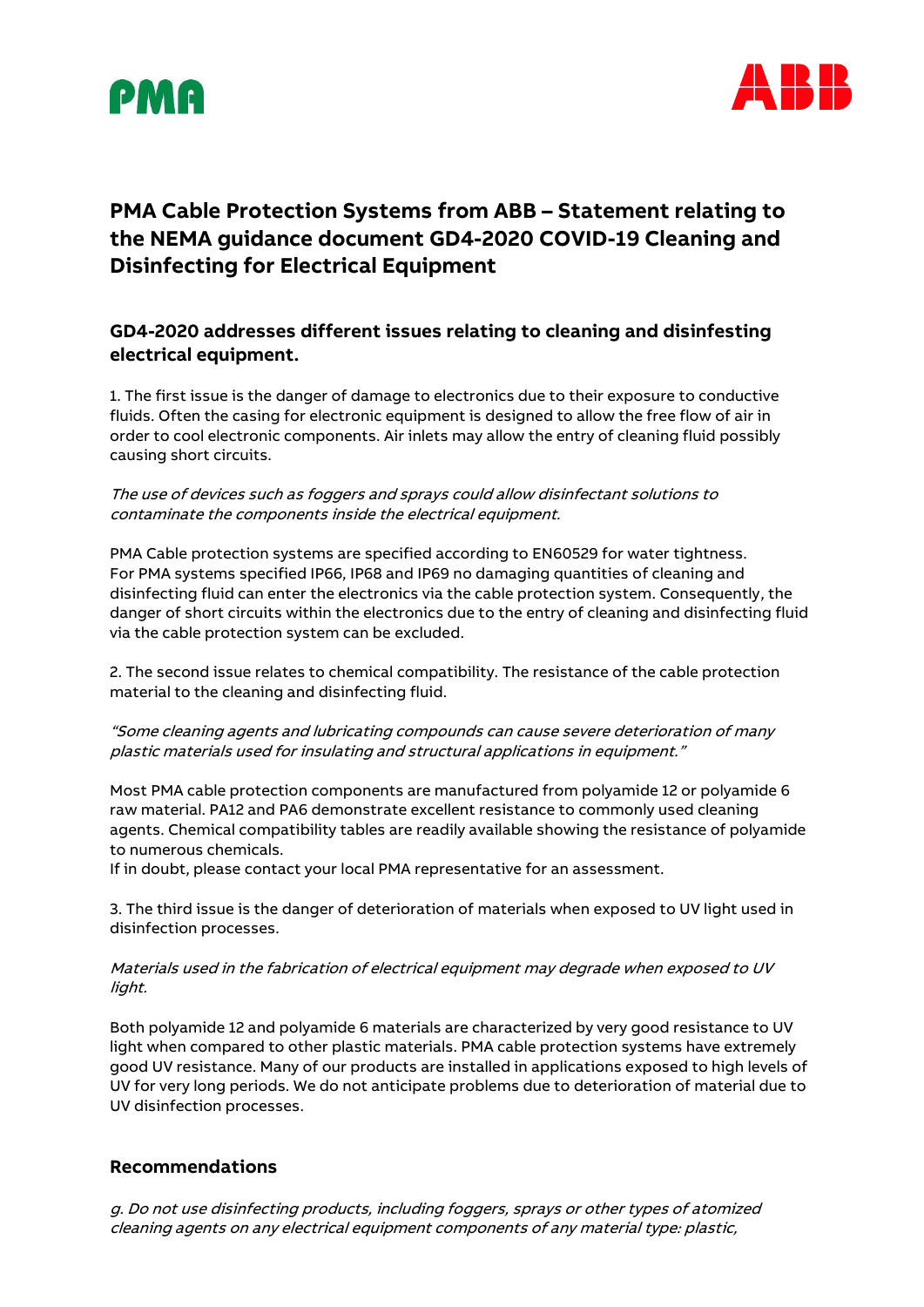



# **PMA Cable Protection Systems from ABB – Statement relating to the NEMA guidance document GD4-2020 COVID-19 Cleaning and Disinfecting for Electrical Equipment**

## **GD4-2020 addresses different issues relating to cleaning and disinfesting electrical equipment.**

1. The first issue is the danger of damage to electronics due to their exposure to conductive fluids. Often the casing for electronic equipment is designed to allow the free flow of air in order to cool electronic components. Air inlets may allow the entry of cleaning fluid possibly causing short circuits.

The use of devices such as foggers and sprays could allow disinfectant solutions to contaminate the components inside the electrical equipment.

PMA Cable protection systems are specified according to EN60529 for water tightness. For PMA systems specified IP66, IP68 and IP69 no damaging quantities of cleaning and disinfecting fluid can enter the electronics via the cable protection system. Consequently, the danger of short circuits within the electronics due to the entry of cleaning and disinfecting fluid via the cable protection system can be excluded.

2. The second issue relates to chemical compatibility. The resistance of the cable protection material to the cleaning and disinfecting fluid.

#### "Some cleaning agents and lubricating compounds can cause severe deterioration of many plastic materials used for insulating and structural applications in equipment."

Most PMA cable protection components are manufactured from polyamide 12 or polyamide 6 raw material. PA12 and PA6 demonstrate excellent resistance to commonly used cleaning agents. Chemical compatibility tables are readily available showing the resistance of polyamide to numerous chemicals.

If in doubt, please contact your local PMA representative for an assessment.

3. The third issue is the danger of deterioration of materials when exposed to UV light used in disinfection processes.

#### Materials used in the fabrication of electrical equipment may degrade when exposed to UV light.

Both polyamide 12 and polyamide 6 materials are characterized by very good resistance to UV light when compared to other plastic materials. PMA cable protection systems have extremely good UV resistance. Many of our products are installed in applications exposed to high levels of UV for very long periods. We do not anticipate problems due to deterioration of material due to UV disinfection processes.

### **Recommendations**

g. Do not use disinfecting products, including foggers, sprays or other types of atomized cleaning agents on any electrical equipment components of any material type: plastic,